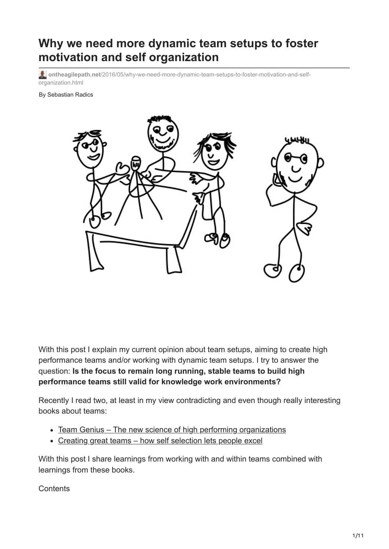# **Why we need more dynamic team setups to foster motivation and self organization**

**ontheagilepath.net**[/2016/05/why-we-need-more-dynamic-team-setups-to-foster-motivation-and-self](https://www.ontheagilepath.net/2016/05/why-we-need-more-dynamic-team-setups-to-foster-motivation-and-self-organization.html)organization.html

By Sebastian Radics



With this post I explain my current opinion about team setups, aiming to create high performance teams and/or working with dynamic team setups. I try to answer the question: **Is the focus to remain long running, stable teams to build high performance teams still valid for knowledge work environments?**

Recently I read two, at least in my view contradicting and even though really interesting books about teams:

- [Team Genius The new science of high performing organizations](http://www.amazon.com/Team-Genius-Science-High-Performing-Organizations/dp/1491591269)
- [Creating great teams how self selection lets people excel](http://www.amazon.de/Creating-Great-Teams-Self-Selection-People/dp/1680501283)

With this post I share learnings from working with and within teams combined with learnings from these books.

**Contents**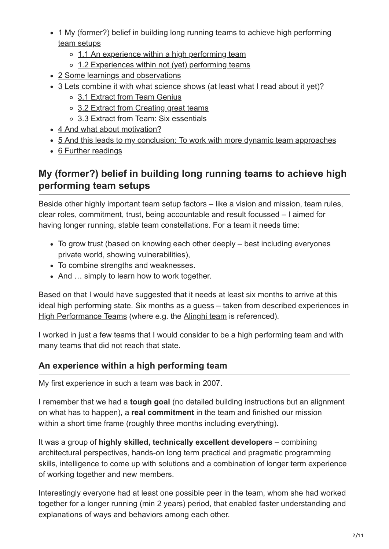- [1 My \(former?\) belief in building long running teams to achieve high performing](#page-1-0) team setups
	- [1.1 An experience within a high performing team](#page-1-1)
	- o [1.2 Experiences within not \(yet\) performing teams](#page-2-0)
- [2 Some learnings and observations](#page-2-1)
- [3 Lets combine it with what science shows \(at least what I read about it yet\)?](#page-3-0)
	- [3.1 Extract from Team Genius](#page-3-1)
	- o [3.2 Extract from Creating great teams](#page-5-0)
	- o [3.3 Extract from Team: Six essentials](#page-6-0)
- [4 And what about motivation?](#page-8-0)
- [5 And this leads to my conclusion: To work with more dynamic team approaches](#page-9-0)
- [6 Further readings](#page-10-0)

## <span id="page-1-0"></span>**My (former?) belief in building long running teams to achieve high performing team setups**

Beside other highly important team setup factors – like a vision and mission, team rules, clear roles, commitment, trust, being accountable and result focussed – I aimed for having longer running, stable team constellations. For a team it needs time:

- To grow trust (based on knowing each other deeply best including everyones private world, showing vulnerabilities),
- To combine strengths and weaknesses.
- And ... simply to learn how to work together.

Based on that I would have suggested that it needs at least six months to arrive at this ideal high performing state. Six months as a guess – taken from described experiences in [High Performance Teams](http://www.amazon.de/High-Performance-Teams-f%C3%BCnf-Erfolgsprinzipien-F%C3%BChrung-Zusammenarbeit/dp/3791022938/ref=sr_1_1?s=books&ie=UTF8&qid=1463054012&sr=1-1&keywords=High-Performance-Teams%3A+Die+f%C3%BCnf+Erfolgsprinzipien+f%C3%BCr+F%C3%BChrung+und+Zusammenarbeit) (where e.g. the [Alinghi team](https://en.wikipedia.org/wiki/Alinghi) is referenced).

I worked in just a few teams that I would consider to be a high performing team and with many teams that did not reach that state.

#### <span id="page-1-1"></span>**An experience within a high performing team**

My first experience in such a team was back in 2007.

I remember that we had a **tough goal** (no detailed building instructions but an alignment on what has to happen), a **real commitment** in the team and finished our mission within a short time frame (roughly three months including everything).

It was a group of **highly skilled, technically excellent developers** – combining architectural perspectives, hands-on long term practical and pragmatic programming skills, intelligence to come up with solutions and a combination of longer term experience of working together and new members.

Interestingly everyone had at least one possible peer in the team, whom she had worked together for a longer running (min 2 years) period, that enabled faster understanding and explanations of ways and behaviors among each other.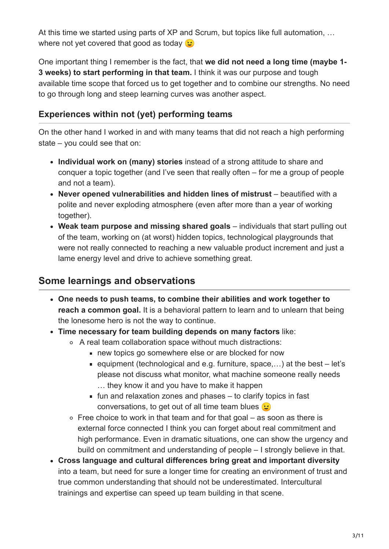At this time we started using parts of XP and Scrum, but topics like full automation, … where not yet covered that good as today  $\odot$ 

One important thing I remember is the fact, that **we did not need a long time (maybe 1- 3 weeks) to start performing in that team.** I think it was our purpose and tough available time scope that forced us to get together and to combine our strengths. No need to go through long and steep learning curves was another aspect.

### <span id="page-2-0"></span>**Experiences within not (yet) performing teams**

On the other hand I worked in and with many teams that did not reach a high performing state – you could see that on:

- **Individual work on (many) stories** instead of a strong attitude to share and conquer a topic together (and I've seen that really often – for me a group of people and not a team).
- **Never opened vulnerabilities and hidden lines of mistrust** beautified with a polite and never exploding atmosphere (even after more than a year of working together).
- **Weak team purpose and missing shared goals** individuals that start pulling out of the team, working on (at worst) hidden topics, technological playgrounds that were not really connected to reaching a new valuable product increment and just a lame energy level and drive to achieve something great.

### <span id="page-2-1"></span>**Some learnings and observations**

- **One needs to push teams, to combine their abilities and work together to reach a common goal.** It is a behavioral pattern to learn and to unlearn that being the lonesome hero is not the way to continue.
- **Time necessary for team building depends on many factors** like:
	- A real team collaboration space without much distractions:
		- new topics go somewhere else or are blocked for now
		- **e** equipment (technological and e.g. furniture, space,...) at the best  $-$  let's please not discuss what monitor, what machine someone really needs … they know it and you have to make it happen
		- $\blacksquare$  fun and relaxation zones and phases  $-$  to clarify topics in fast conversations, to get out of all time team blues  $\odot$
	- $\circ$  Free choice to work in that team and for that goal as soon as there is external force connected I think you can forget about real commitment and high performance. Even in dramatic situations, one can show the urgency and build on commitment and understanding of people – I strongly believe in that.
- **Cross language and cultural differences bring great and important diversity** into a team, but need for sure a longer time for creating an environment of trust and true common understanding that should not be underestimated. Intercultural trainings and expertise can speed up team building in that scene.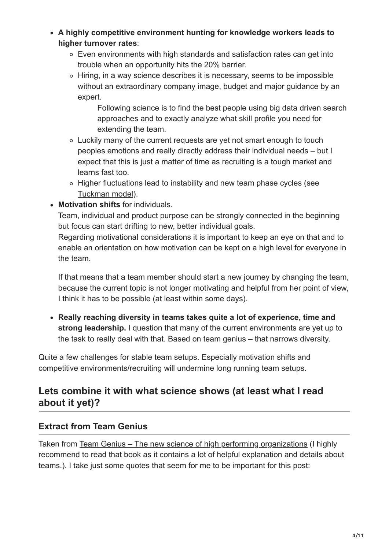- **A highly competitive environment hunting for knowledge workers leads to higher turnover rates**:
	- Even environments with high standards and satisfaction rates can get into trouble when an opportunity hits the 20% barrier.
	- Hiring, in a way science describes it is necessary, seems to be impossible without an extraordinary company image, budget and major guidance by an expert.

Following science is to find the best people using big data driven search approaches and to exactly analyze what skill profile you need for extending the team.

- Luckily many of the current requests are yet not smart enough to touch peoples emotions and really directly address their individual needs – but I expect that this is just a matter of time as recruiting is a tough market and learns fast too.
- Higher fluctuations lead to instability and new team phase cycles (see [Tuckman model\)](https://en.wikipedia.org/wiki/Tuckman%27s_stages_of_group_development).
- **Motivation shifts** for individuals.

Team, individual and product purpose can be strongly connected in the beginning but focus can start drifting to new, better individual goals.

Regarding motivational considerations it is important to keep an eye on that and to enable an orientation on how motivation can be kept on a high level for everyone in the team.

If that means that a team member should start a new journey by changing the team, because the current topic is not longer motivating and helpful from her point of view, I think it has to be possible (at least within some days).

**Really reaching diversity in teams takes quite a lot of experience, time and strong leadership.** I question that many of the current environments are yet up to the task to really deal with that. Based on team genius – that narrows diversity.

Quite a few challenges for stable team setups. Especially motivation shifts and competitive environments/recruiting will undermine long running team setups.

## <span id="page-3-0"></span>**Lets combine it with what science shows (at least what I read about it yet)?**

### <span id="page-3-1"></span>**Extract from Team Genius**

Taken from [Team Genius – The new science of high performing organizations](http://www.amazon.com/Team-Genius-Science-High-Performing-Organizations/dp/1491591269) (I highly recommend to read that book as it contains a lot of helpful explanation and details about teams.). I take just some quotes that seem for me to be important for this post: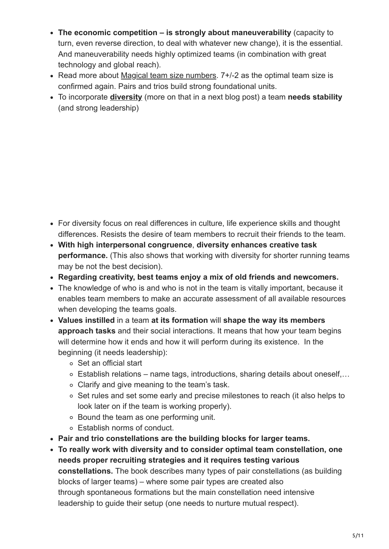- **The economic competition is strongly about maneuverability** (capacity to turn, even reverse direction, to deal with whatever new change), it is the essential. And maneuverability needs highly optimized teams (in combination with great technology and global reach).
- Read more about [Magical team size numbers](http://www.ontheagilepath.net/2015/12/magical-team-size-numbers-2-3-5-7-12-50-150-1500-and-how-to-avoid-wasting-everybodys-time.html). 7+/-2 as the optimal team size is confirmed again. Pairs and trios build strong foundational units.
- To incorporate **[diversity](http://www.ontheagilepath.net/2016/04/the-value-of-diversity-in-teams-a-great-berlin-scrum-meetup.html)** (more on that in a next blog post) a team **needs stability** (and strong leadership)

- For diversity focus on real differences in culture, life experience skills and thought differences. Resists the desire of team members to recruit their friends to the team.
- **With high interpersonal congruence**, **diversity enhances creative task performance.** (This also shows that working with diversity for shorter running teams may be not the best decision).
- **Regarding creativity, best teams enjoy a mix of old friends and newcomers.**
- The knowledge of who is and who is not in the team is vitally important, because it enables team members to make an accurate assessment of all available resources when developing the teams goals.
- **Values instilled** in a team **at its formation** will **shape the way its members approach tasks** and their social interactions. It means that how your team begins will determine how it ends and how it will perform during its existence. In the beginning (it needs leadership):
	- Set an official start
	- Establish relations name tags, introductions, sharing details about oneself,…
	- Clarify and give meaning to the team's task.
	- Set rules and set some early and precise milestones to reach (it also helps to look later on if the team is working properly).
	- Bound the team as one performing unit.
	- Establish norms of conduct.
- **Pair and trio constellations are the building blocks for larger teams.**
- **To really work with diversity and to consider optimal team constellation, one needs proper recruiting strategies and it requires testing various constellations.** The book describes many types of pair constellations (as building blocks of larger teams) – where some pair types are created also through spontaneous formations but the main constellation need intensive leadership to guide their setup (one needs to nurture mutual respect).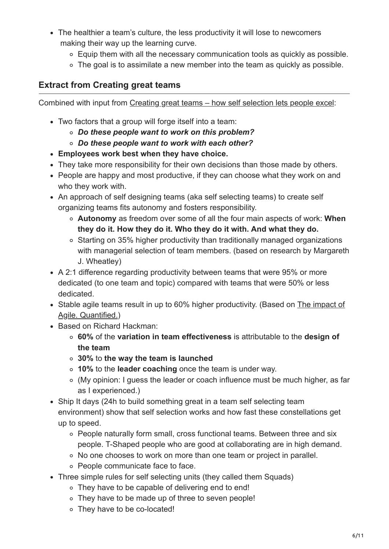- The healthier a team's culture, the less productivity it will lose to newcomers making their way up the learning curve.
	- Equip them with all the necessary communication tools as quickly as possible.
	- The goal is to assimilate a new member into the team as quickly as possible.

#### <span id="page-5-0"></span>**Extract from Creating great teams**

Combined with input from [Creating great teams – how self selection lets people excel:](http://www.amazon.de/Creating-Great-Teams-Self-Selection-People/dp/1680501283)

- Two factors that a group will forge itself into a team:
	- *Do these people want to work on this problem?*
	- *Do these people want to work with each other?*
- **Employees work best when they have choice.**
- They take more responsibility for their own decisions than those made by others.
- People are happy and most productive, if they can choose what they work on and who they work with.
- An approach of self designing teams (aka self selecting teams) to create self organizing teams fits autonomy and fosters responsibility.
	- **Autonomy** as freedom over some of all the four main aspects of work: **When they do it. How they do it. Who they do it with. And what they do.**
	- Starting on 35% higher productivity than traditionally managed organizations with managerial selection of team members. (based on research by Margareth J. Wheatley)
- A 2:1 difference regarding productivity between teams that were 95% or more dedicated (to one team and topic) compared with teams that were 50% or less dedicated.
- [Stable agile teams result in up to 60% higher productivity. \(Based on The impact of](https://www.rallydev.com/about/rally-software-quantifies-impact-agile-software-development-practices) Agile. Quantified.)
- Based on Richard Hackman:
	- **60%** of the **variation in team effectiveness** is attributable to the **design of the team**
	- **30%** to **the way the team is launched**
	- **10%** to the **leader coaching** once the team is under way.
	- (My opinion: I guess the leader or coach influence must be much higher, as far as I experienced.)
- Ship It days (24h to build something great in a team self selecting team environment) show that self selection works and how fast these constellations get up to speed.
	- People naturally form small, cross functional teams. Between three and six people. T-Shaped people who are good at collaborating are in high demand.
	- No one chooses to work on more than one team or project in parallel.
	- People communicate face to face.
- Three simple rules for self selecting units (they called them Squads)
	- They have to be capable of delivering end to end!
	- They have to be made up of three to seven people!
	- They have to be co-located!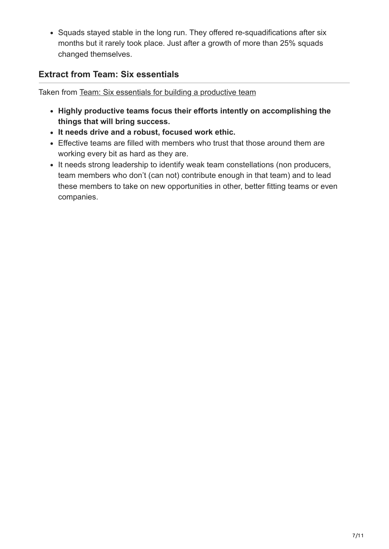• Squads stayed stable in the long run. They offered re-squadifications after six months but it rarely took place. Just after a growth of more than 25% squads changed themselves.

### <span id="page-6-0"></span>**Extract from Team: Six essentials**

Taken from [Team: Six essentials for building a productive team](https://www.amazon.de/Team-Essentials-Building-Productive-English-ebook/dp/B01FENIU0Y/ref=sr_1_1?ie=UTF8&qid=1463558810&sr=8-1&keywords=team+six+essentials)

- **Highly productive teams focus their efforts intently on accomplishing the things that will bring success.**
- **It needs drive and a robust, focused work ethic.**
- Effective teams are filled with members who trust that those around them are working every bit as hard as they are.
- It needs strong leadership to identify weak team constellations (non producers, team members who don't (can not) contribute enough in that team) and to lead these members to take on new opportunities in other, better fitting teams or even companies.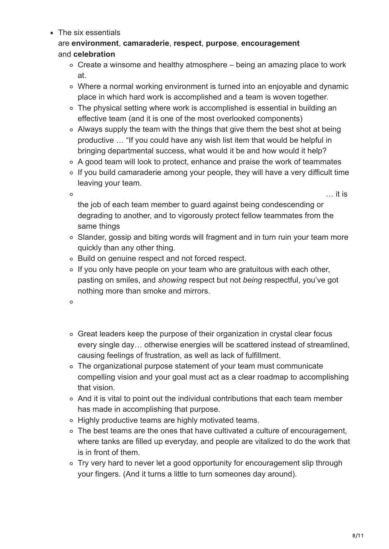• The six essentials

#### are **environment**, **camaraderie**, **respect**, **purpose**, **encouragement** and **celebration**

- Create a winsome and healthy atmosphere being an amazing place to work at.
- Where a normal working environment is turned into an enjoyable and dynamic place in which hard work is accomplished and a team is woven together.
- The physical setting where work is accomplished is essential in building an effective team (and it is one of the most overlooked components)
- Always supply the team with the things that give them the best shot at being productive … "If you could have any wish list item that would be helpful in bringing departmental success, what would it be and how would it help?
- A good team will look to protect, enhance and praise the work of teammates
- $\circ$  If you build camaraderie among your people, they will have a very difficult time leaving your team.

 $\circ$ 

 $\ldots$  it is

the job of each team member to quard against being condescending or degrading to another, and to vigorously protect fellow teammates from the same things

- Slander, gossip and biting words will fragment and in turn ruin your team more quickly than any other thing.
- Build on genuine respect and not forced respect.
- $\circ$  If you only have people on your team who are gratuitous with each other, pasting on smiles, and *showing* respect but not *being* respectful, you've got nothing more than smoke and mirrors.
- $\circ$
- Great leaders keep the purpose of their organization in crystal clear focus every single day… otherwise energies will be scattered instead of streamlined, causing feelings of frustration, as well as lack of fulfillment.
- The organizational purpose statement of your team must communicate compelling vision and your goal must act as a clear roadmap to accomplishing that vision.
- And it is vital to point out the individual contributions that each team member has made in accomplishing that purpose.
- Highly productive teams are highly motivated teams.
- The best teams are the ones that have cultivated a culture of encouragement, where tanks are filled up everyday, and people are vitalized to do the work that is in front of them.
- Try very hard to never let a good opportunity for encouragement slip through your fingers. (And it turns a little to turn someones day around).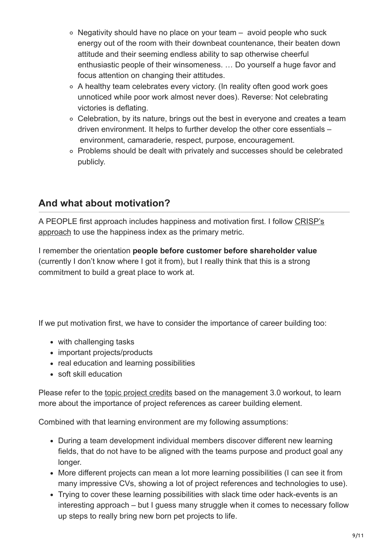- $\circ$  Negativity should have no place on your team avoid people who suck energy out of the room with their downbeat countenance, their beaten down attitude and their seeming endless ability to sap otherwise cheerful enthusiastic people of their winsomeness. … Do yourself a huge favor and focus attention on changing their attitudes.
- A healthy team celebrates every victory. (In reality often good work goes unnoticed while poor work almost never does). Reverse: Not celebrating victories is deflating.
- Celebration, by its nature, brings out the best in everyone and creates a team driven environment. It helps to further develop the other core essentials – environment, camaraderie, respect, purpose, encouragement.
- Problems should be dealt with privately and successes should be celebrated publicly.

## <span id="page-8-0"></span>**And what about motivation?**

[A PEOPLE first approach includes happiness and motivation first. I follow CRISP's](http://dna.crisp.se/docs/happiness-index.html) approach to use the happiness index as the primary metric.

I remember the orientation **people before customer before shareholder value** (currently I don't know where I got it from), but I really think that this is a strong commitment to build a great place to work at.

If we put motivation first, we have to consider the importance of career building too:

- with challenging tasks
- important projects/products
- real education and learning possibilities
- soft skill education

Please refer to the [topic project credits](http://www.ontheagilepath.net/2013/12/project-credits-sketchnotes-from-the-new-management-3-0-workout.html) based on the management 3.0 workout, to learn more about the importance of project references as career building element.

Combined with that learning environment are my following assumptions:

- During a team development individual members discover different new learning fields, that do not have to be aligned with the teams purpose and product goal any longer.
- More different projects can mean a lot more learning possibilities (I can see it from many impressive CVs, showing a lot of project references and technologies to use).
- Trying to cover these learning possibilities with slack time oder hack-events is an interesting approach – but I guess many struggle when it comes to necessary follow up steps to really bring new born pet projects to life.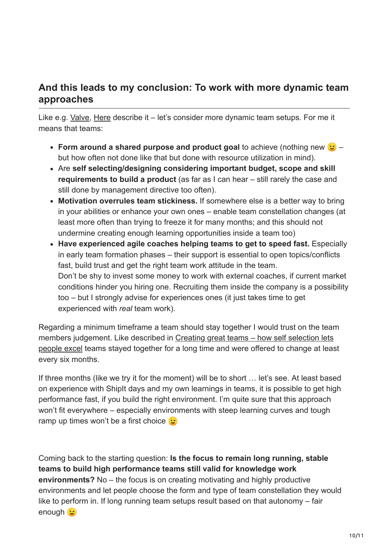### <span id="page-9-0"></span>**And this leads to my conclusion: To work with more dynamic team approaches**

Like e.g. [Valve,](http://www.valvesoftware.com/company/Valve_Handbook_LowRes.pdf) [Here](https://company.here.com/here/) describe it – let's consider more dynamic team setups. For me it means that teams:

- **Form around a shared purpose and product goal** to achieve (nothing new  $\mathbf{G}$  but how often not done like that but done with resource utilization in mind).
- Are **self selecting/designing considering important budget, scope and skill requirements to build a product** (as far as I can hear – still rarely the case and still done by management directive too often).
- **Motivation overrules team stickiness.** If somewhere else is a better way to bring in your abilities or enhance your own ones – enable team constellation changes (at least more often than trying to freeze it for many months; and this should not undermine creating enough learning opportunities inside a team too)
- **Have experienced agile coaches helping teams to get to speed fast.** Especially in early team formation phases – their support is essential to open topics/conflicts fast, build trust and get the right team work attitude in the team. Don't be shy to invest some money to work with external coaches, if current market conditions hinder you hiring one. Recruiting them inside the company is a possibility too – but I strongly advise for experiences ones (it just takes time to get experienced with *real* team work).

Regarding a minimum timeframe a team should stay together I would trust on the team [members judgement. Like described in Creating great teams – how self selection lets](http://www.amazon.de/Creating-Great-Teams-Self-Selection-People/dp/1680501283) people excel teams stayed together for a long time and were offered to change at least every six months.

If three months (like we try it for the moment) will be to short … let's see. At least based on experience with ShipIt days and my own learnings in teams, it is possible to get high performance fast, if you build the right environment. I'm quite sure that this approach won't fit everywhere – especially environments with steep learning curves and tough ramp up times won't be a first choice  $\mathfrak{S}$ 

Coming back to the starting question: **Is the focus to remain long running, stable teams to build high performance teams still valid for knowledge work environments?** No – the focus is on creating motivating and highly productive environments and let people choose the form and type of team constellation they would like to perform in. If long running team setups result based on that autonomy – fair enough **G**